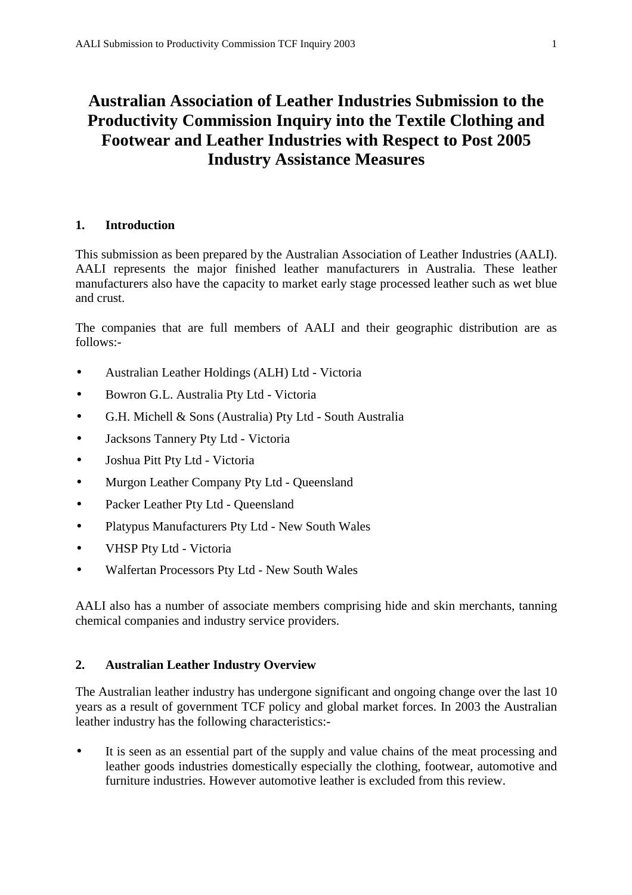# **Australian Association of Leather Industries Submission to the Productivity Commission Inquiry into the Textile Clothing and Footwear and Leather Industries with Respect to Post 2005 Industry Assistance Measures**

## **1. Introduction**

This submission as been prepared by the Australian Association of Leather Industries (AALI). AALI represents the major finished leather manufacturers in Australia. These leather manufacturers also have the capacity to market early stage processed leather such as wet blue and crust.

The companies that are full members of AALI and their geographic distribution are as follows:-

- Australian Leather Holdings (ALH) Ltd Victoria
- Bowron G.L. Australia Pty Ltd Victoria
- G.H. Michell & Sons (Australia) Pty Ltd South Australia
- Jacksons Tannery Pty Ltd Victoria
- Joshua Pitt Pty Ltd Victoria
- Murgon Leather Company Pty Ltd Queensland
- Packer Leather Pty Ltd Queensland
- Platypus Manufacturers Pty Ltd New South Wales
- VHSP Pty Ltd Victoria
- Walfertan Processors Pty Ltd New South Wales

AALI also has a number of associate members comprising hide and skin merchants, tanning chemical companies and industry service providers.

## **2. Australian Leather Industry Overview**

The Australian leather industry has undergone significant and ongoing change over the last 10 years as a result of government TCF policy and global market forces. In 2003 the Australian leather industry has the following characteristics:-

• It is seen as an essential part of the supply and value chains of the meat processing and leather goods industries domestically especially the clothing, footwear, automotive and furniture industries. However automotive leather is excluded from this review.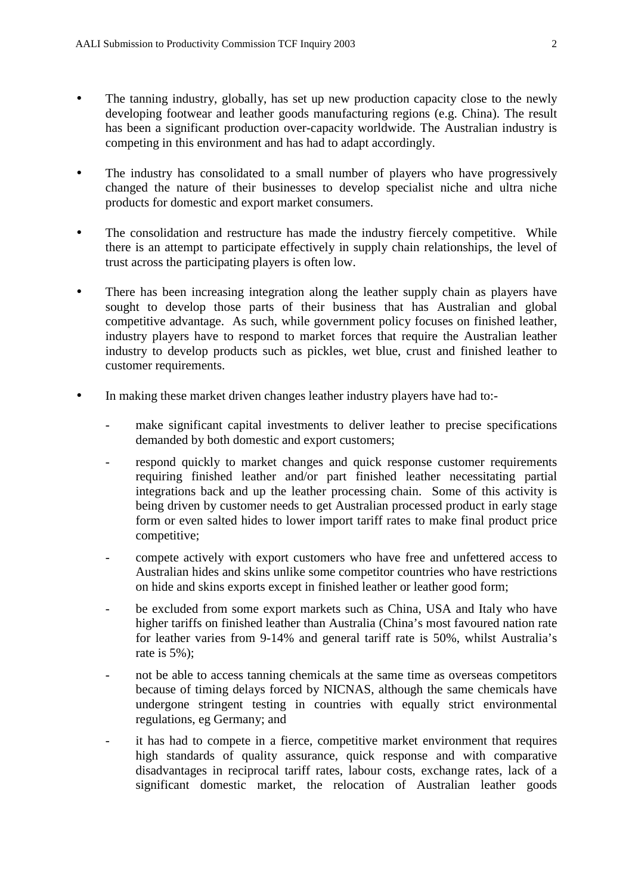- The tanning industry, globally, has set up new production capacity close to the newly developing footwear and leather goods manufacturing regions (e.g. China). The result has been a significant production over-capacity worldwide. The Australian industry is competing in this environment and has had to adapt accordingly.
- The industry has consolidated to a small number of players who have progressively changed the nature of their businesses to develop specialist niche and ultra niche products for domestic and export market consumers.
- The consolidation and restructure has made the industry fiercely competitive. While there is an attempt to participate effectively in supply chain relationships, the level of trust across the participating players is often low.
- There has been increasing integration along the leather supply chain as players have sought to develop those parts of their business that has Australian and global competitive advantage. As such, while government policy focuses on finished leather, industry players have to respond to market forces that require the Australian leather industry to develop products such as pickles, wet blue, crust and finished leather to customer requirements.
- In making these market driven changes leather industry players have had to:
	- make significant capital investments to deliver leather to precise specifications demanded by both domestic and export customers;
	- respond quickly to market changes and quick response customer requirements requiring finished leather and/or part finished leather necessitating partial integrations back and up the leather processing chain. Some of this activity is being driven by customer needs to get Australian processed product in early stage form or even salted hides to lower import tariff rates to make final product price competitive;
	- compete actively with export customers who have free and unfettered access to Australian hides and skins unlike some competitor countries who have restrictions on hide and skins exports except in finished leather or leather good form;
	- be excluded from some export markets such as China, USA and Italy who have higher tariffs on finished leather than Australia (China's most favoured nation rate for leather varies from 9-14% and general tariff rate is 50%, whilst Australia's rate is 5%);
	- not be able to access tanning chemicals at the same time as overseas competitors because of timing delays forced by NICNAS, although the same chemicals have undergone stringent testing in countries with equally strict environmental regulations, eg Germany; and
	- it has had to compete in a fierce, competitive market environment that requires high standards of quality assurance, quick response and with comparative disadvantages in reciprocal tariff rates, labour costs, exchange rates, lack of a significant domestic market, the relocation of Australian leather goods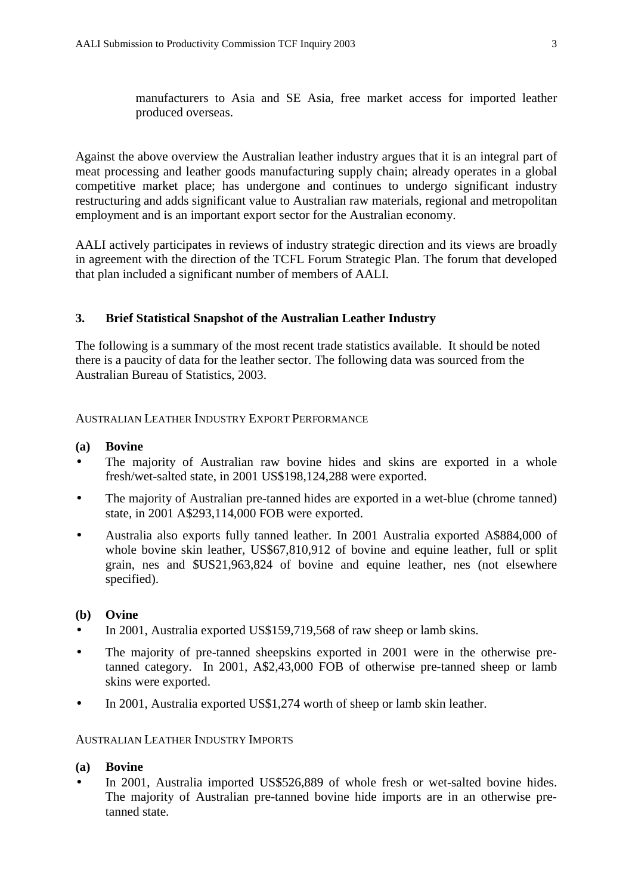manufacturers to Asia and SE Asia, free market access for imported leather produced overseas.

Against the above overview the Australian leather industry argues that it is an integral part of meat processing and leather goods manufacturing supply chain; already operates in a global competitive market place; has undergone and continues to undergo significant industry restructuring and adds significant value to Australian raw materials, regional and metropolitan employment and is an important export sector for the Australian economy.

AALI actively participates in reviews of industry strategic direction and its views are broadly in agreement with the direction of the TCFL Forum Strategic Plan. The forum that developed that plan included a significant number of members of AALI.

## **3. Brief Statistical Snapshot of the Australian Leather Industry**

The following is a summary of the most recent trade statistics available. It should be noted there is a paucity of data for the leather sector. The following data was sourced from the Australian Bureau of Statistics, 2003.

#### AUSTRALIAN LEATHER INDUSTRY EXPORT PERFORMANCE

#### **(a) Bovine**

- The majority of Australian raw bovine hides and skins are exported in a whole fresh/wet-salted state, in 2001 US\$198,124,288 were exported.
- The majority of Australian pre-tanned hides are exported in a wet-blue (chrome tanned) state, in 2001 A\$293,114,000 FOB were exported.
- Australia also exports fully tanned leather. In 2001 Australia exported A\$884,000 of whole bovine skin leather, US\$67,810,912 of bovine and equine leather, full or split grain, nes and \$US21,963,824 of bovine and equine leather, nes (not elsewhere specified).

#### **(b) Ovine**

- In 2001, Australia exported US\$159,719,568 of raw sheep or lamb skins.
- The majority of pre-tanned sheepskins exported in 2001 were in the otherwise pretanned category. In 2001, A\$2,43,000 FOB of otherwise pre-tanned sheep or lamb skins were exported.
- In 2001, Australia exported US\$1,274 worth of sheep or lamb skin leather.

#### AUSTRALIAN LEATHER INDUSTRY IMPORTS

#### **(a) Bovine**

In 2001, Australia imported US\$526,889 of whole fresh or wet-salted bovine hides. The majority of Australian pre-tanned bovine hide imports are in an otherwise pretanned state.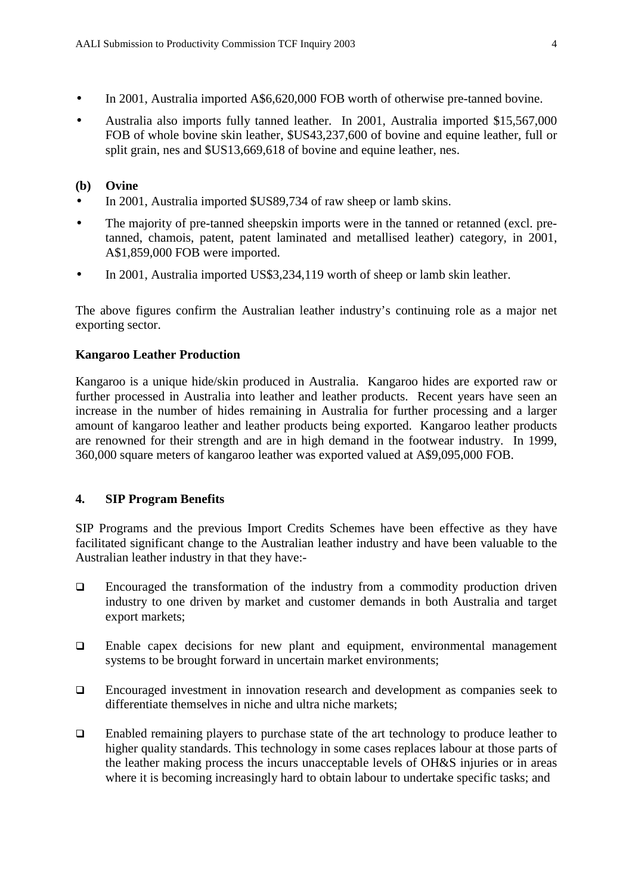- In 2001, Australia imported A\$6,620,000 FOB worth of otherwise pre-tanned bovine.
- Australia also imports fully tanned leather. In 2001, Australia imported \$15,567,000 FOB of whole bovine skin leather, \$US43,237,600 of bovine and equine leather, full or split grain, nes and \$US13,669,618 of bovine and equine leather, nes.

#### **(b) Ovine**

- In 2001, Australia imported \$US89,734 of raw sheep or lamb skins.
- The majority of pre-tanned sheepskin imports were in the tanned or retanned (excl. pretanned, chamois, patent, patent laminated and metallised leather) category, in 2001, A\$1,859,000 FOB were imported.
- In 2001, Australia imported US\$3,234,119 worth of sheep or lamb skin leather.

The above figures confirm the Australian leather industry's continuing role as a major net exporting sector.

## **Kangaroo Leather Production**

Kangaroo is a unique hide/skin produced in Australia. Kangaroo hides are exported raw or further processed in Australia into leather and leather products. Recent years have seen an increase in the number of hides remaining in Australia for further processing and a larger amount of kangaroo leather and leather products being exported. Kangaroo leather products are renowned for their strength and are in high demand in the footwear industry. In 1999, 360,000 square meters of kangaroo leather was exported valued at A\$9,095,000 FOB.

## **4. SIP Program Benefits**

SIP Programs and the previous Import Credits Schemes have been effective as they have facilitated significant change to the Australian leather industry and have been valuable to the Australian leather industry in that they have:-

- $\Box$  Encouraged the transformation of the industry from a commodity production driven industry to one driven by market and customer demands in both Australia and target export markets;
- $\Box$  Enable capex decisions for new plant and equipment, environmental management systems to be brought forward in uncertain market environments;
- Encouraged investment in innovation research and development as companies seek to differentiate themselves in niche and ultra niche markets;
- Enabled remaining players to purchase state of the art technology to produce leather to higher quality standards. This technology in some cases replaces labour at those parts of the leather making process the incurs unacceptable levels of OH&S injuries or in areas where it is becoming increasingly hard to obtain labour to undertake specific tasks; and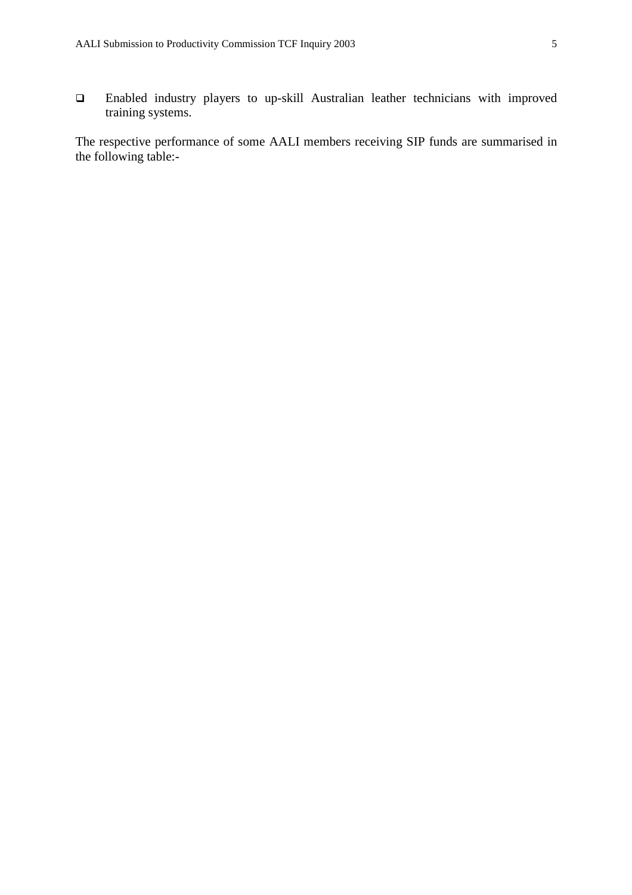Enabled industry players to up-skill Australian leather technicians with improved training systems.

The respective performance of some AALI members receiving SIP funds are summarised in the following table:-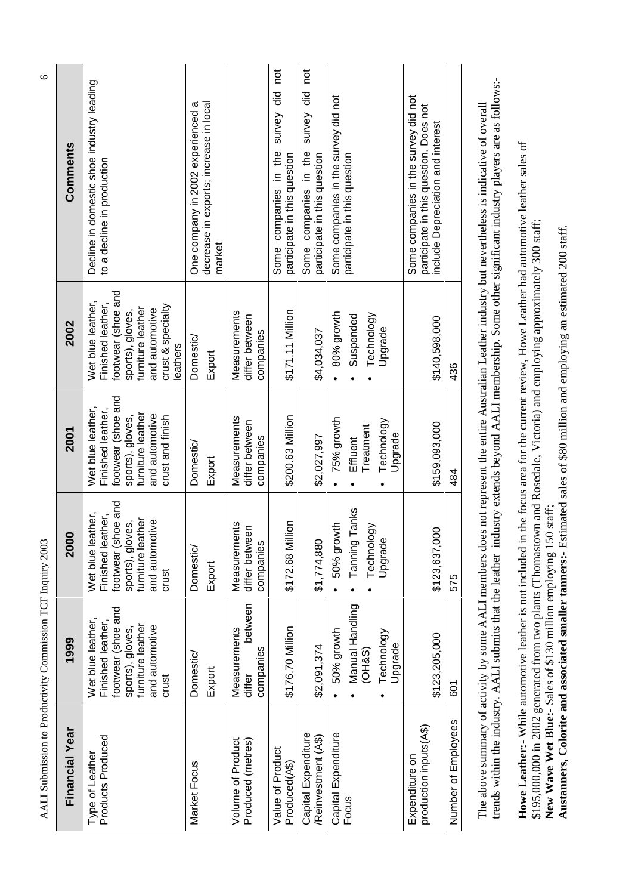AALI Submission to Productivity Commission TCF Inquiry 2003 6 AALI Submission to Productivity Commission TCF Inquiry 2003

| Comments              | Decline in domestic shoe industry leading<br>to a decline in production                                                                                 | decrease in exports; increase in local<br>One company in 2002 experienced a<br>market |                                                | survey did not<br>Some companies in the<br>participate in this question | survey did not<br>Some companies in the<br>participate in this question | Some companies in the survey did not<br>participate in this question | Some companies in the survey did not<br>participate in this question. Does not<br>include Depreciation and interest |                     |
|-----------------------|---------------------------------------------------------------------------------------------------------------------------------------------------------|---------------------------------------------------------------------------------------|------------------------------------------------|-------------------------------------------------------------------------|-------------------------------------------------------------------------|----------------------------------------------------------------------|---------------------------------------------------------------------------------------------------------------------|---------------------|
| 2002                  | footwear (shoe and<br>Wet blue leather,<br>Finished leather,<br>crust & specialty<br>furniture leather<br>and automotive<br>sports), gloves,<br>eathers | Domestic/<br>Export                                                                   | Measurements<br>differ between<br>companies    | \$171.11 Million                                                        | \$4,034,037                                                             | 80% growth<br>Technology<br>Suspended<br>Upgrade                     | \$140,598,000                                                                                                       | 436                 |
| 2001                  | footwear (shoe and<br>Wet blue leather,<br>Finished leather,<br>furniture leather<br>sports), gloves,<br>and automotive<br>crust and finish             | Domestic/<br>Export                                                                   | Measurements<br>differ between<br>companies    | \$200.63 Million                                                        | \$2,027,997                                                             | 75% growth<br>Technology<br>Treatment<br>Upgrade<br>Effluent         | \$159,093,000                                                                                                       | 484                 |
| 8<br>$\bar{Q}$        | footwear (shoe and<br>Wet blue leather,<br>Finished leather,<br>furniture leather<br>sports), gloves,<br>and automotive<br>crust                        | Domestic/<br>Export                                                                   | Measurements<br>differ between<br>companies    | \$172.68 Million                                                        | \$1,774,880                                                             | Tanning Tanks<br>50% growth<br>Technology<br>Upgrade                 | 80<br>\$123,637,                                                                                                    | 575                 |
| 1999                  | footwear (shoe and<br>Wet blue leather,<br>Finished leather,<br>furniture leather<br>and automotive<br>sports), gloves,<br>crust                        | <b>Domestic/</b><br>Export                                                            | between<br>Measurements<br>companies<br>differ | \$176.70 Million                                                        | \$2,091,374                                                             | Manual Handling<br>50% growth<br>Technology<br>Upgrade<br>(OHS)      | \$123,205,000                                                                                                       | 601                 |
| <b>Financial Year</b> | Products Produced<br>Type of Leather                                                                                                                    | Market Focus                                                                          | Volume of Product<br>Produced (metres)         | Value of Product<br>Produced(A\$)                                       | Capital Expenditure<br>/Reinvestment (A\$)                              | Capital Expenditure<br>Focus                                         | production inputs(A\$)<br>Expenditure on                                                                            | Number of Employees |

trends within the industry. AALI submits that the leather industry extends beyond AALI membership. Some other significant industry players are as follows:trends within the industry. AALI submits that the leather industry extends beyond AALI membership. Some other significant industry players are as follows:- The above summary of activity by some AALI members does not represent the entire Australian Leather industry but nevertheless is indicative of overall The above summary of activity by some AALI members does not represent the entire Australian Leather industry but nevertheless is indicative of overall

Howe Leather:- While automotive leather is not included in the focus area for the current review, Howe Leather had automotive leather sales of **Howe Leather:-** While automotive leather is not included in the focus area for the current review, Howe Leather had automotive leather sales of \$195,000,000 in 2002 generated from two plants (Thomastown and Rosedale, Victoria) and employing approximately 300 staff; \$195,000,000 in 2002 generated from two plants (Thomastown and Rosedale, Victoria) and employing approximately 300 staff; **New Wave Wet Blue:-** Sales of \$130 million employing 150 staff;

New Wave Wet Blue:- Sales of \$130 million employing 150 staff;<br>Austanners, Colorite and associated smaller tanners:- Estimated sales of \$80 million and employing an estimated 200 staff. **Austanners, Colorite and associated smaller tanners:-** Estimated sales of \$80 million and employing an estimated 200 staff.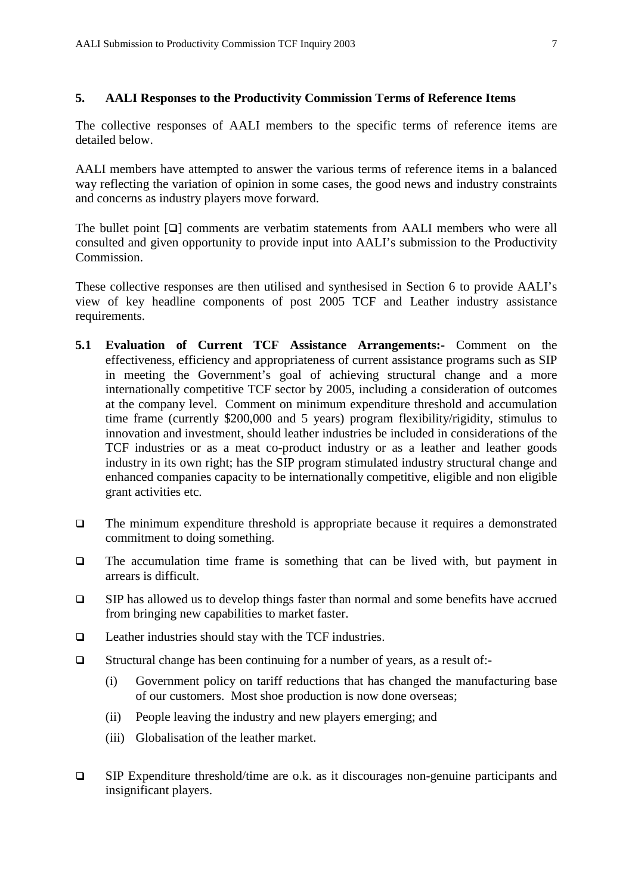#### **5. AALI Responses to the Productivity Commission Terms of Reference Items**

The collective responses of AALI members to the specific terms of reference items are detailed below.

AALI members have attempted to answer the various terms of reference items in a balanced way reflecting the variation of opinion in some cases, the good news and industry constraints and concerns as industry players move forward.

The bullet point  $[\Box]$  comments are verbatim statements from AALI members who were all consulted and given opportunity to provide input into AALI's submission to the Productivity Commission.

These collective responses are then utilised and synthesised in Section 6 to provide AALI's view of key headline components of post 2005 TCF and Leather industry assistance requirements.

- **5.1 Evaluation of Current TCF Assistance Arrangements:-** Comment on the effectiveness, efficiency and appropriateness of current assistance programs such as SIP in meeting the Government's goal of achieving structural change and a more internationally competitive TCF sector by 2005, including a consideration of outcomes at the company level. Comment on minimum expenditure threshold and accumulation time frame (currently \$200,000 and 5 years) program flexibility/rigidity, stimulus to innovation and investment, should leather industries be included in considerations of the TCF industries or as a meat co-product industry or as a leather and leather goods industry in its own right; has the SIP program stimulated industry structural change and enhanced companies capacity to be internationally competitive, eligible and non eligible grant activities etc.
- $\Box$  The minimum expenditure threshold is appropriate because it requires a demonstrated commitment to doing something.
- $\Box$  The accumulation time frame is something that can be lived with, but payment in arrears is difficult.
- $\square$  SIP has allowed us to develop things faster than normal and some benefits have accrued from bringing new capabilities to market faster.
- $\Box$  Leather industries should stay with the TCF industries.
- Structural change has been continuing for a number of years, as a result of:-
	- (i) Government policy on tariff reductions that has changed the manufacturing base of our customers. Most shoe production is now done overseas;
	- (ii) People leaving the industry and new players emerging; and
	- (iii) Globalisation of the leather market.
- $\Box$  SIP Expenditure threshold/time are o.k. as it discourages non-genuine participants and insignificant players.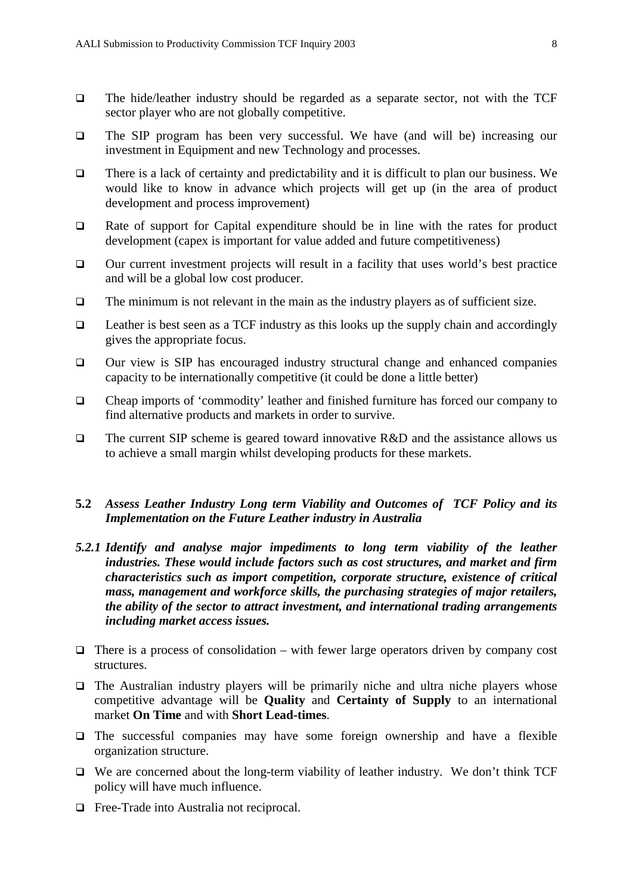- The hide/leather industry should be regarded as a separate sector, not with the TCF sector player who are not globally competitive.
- The SIP program has been very successful. We have (and will be) increasing our investment in Equipment and new Technology and processes.
- $\Box$  There is a lack of certainty and predictability and it is difficult to plan our business. We would like to know in advance which projects will get up (in the area of product development and process improvement)
- Rate of support for Capital expenditure should be in line with the rates for product development (capex is important for value added and future competitiveness)
- $\Box$  Our current investment projects will result in a facility that uses world's best practice and will be a global low cost producer.
- $\Box$  The minimum is not relevant in the main as the industry players as of sufficient size.
- $\Box$  Leather is best seen as a TCF industry as this looks up the supply chain and accordingly gives the appropriate focus.
- $\Box$  Our view is SIP has encouraged industry structural change and enhanced companies capacity to be internationally competitive (it could be done a little better)
- Cheap imports of 'commodity' leather and finished furniture has forced our company to find alternative products and markets in order to survive.
- The current SIP scheme is geared toward innovative  $R&D$  and the assistance allows us to achieve a small margin whilst developing products for these markets.
- **5.2** *Assess Leather Industry Long term Viability and Outcomes of TCF Policy and its Implementation on the Future Leather industry in Australia*
- *5.2.1 Identify and analyse major impediments to long term viability of the leather industries. These would include factors such as cost structures, and market and firm characteristics such as import competition, corporate structure, existence of critical mass, management and workforce skills, the purchasing strategies of major retailers, the ability of the sector to attract investment, and international trading arrangements including market access issues.*
- $\Box$  There is a process of consolidation with fewer large operators driven by company cost structures.
- $\Box$  The Australian industry players will be primarily niche and ultra niche players whose competitive advantage will be **Quality** and **Certainty of Supply** to an international market **On Time** and with **Short Lead-times**.
- $\Box$  The successful companies may have some foreign ownership and have a flexible organization structure.
- $\Box$  We are concerned about the long-term viability of leather industry. We don't think TCF policy will have much influence.
- □ Free-Trade into Australia not reciprocal.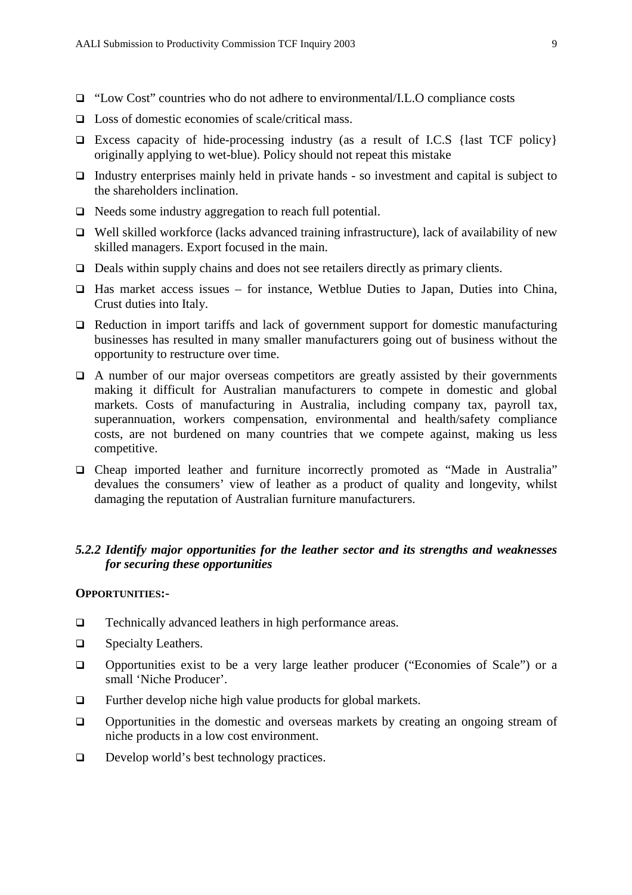- □ "Low Cost" countries who do not adhere to environmental/I.L.O compliance costs
- $\Box$  Loss of domestic economies of scale/critical mass.
- Excess capacity of hide-processing industry (as a result of I.C.S {last TCF policy} originally applying to wet-blue). Policy should not repeat this mistake
- Industry enterprises mainly held in private hands  $\overline{\phantom{a}}$  so investment and capital is subject to the shareholders inclination.
- $\Box$  Needs some industry aggregation to reach full potential.
- $\Box$  Well skilled workforce (lacks advanced training infrastructure), lack of availability of new skilled managers. Export focused in the main.
- $\Box$  Deals within supply chains and does not see retailers directly as primary clients.
- $\Box$  Has market access issues for instance, Wetblue Duties to Japan, Duties into China, Crust duties into Italy.
- $\Box$  Reduction in import tariffs and lack of government support for domestic manufacturing businesses has resulted in many smaller manufacturers going out of business without the opportunity to restructure over time.
- $\Box$  A number of our major overseas competitors are greatly assisted by their governments making it difficult for Australian manufacturers to compete in domestic and global markets. Costs of manufacturing in Australia, including company tax, payroll tax, superannuation, workers compensation, environmental and health/safety compliance costs, are not burdened on many countries that we compete against, making us less competitive.
- Cheap imported leather and furniture incorrectly promoted as "Made in Australia" devalues the consumers' view of leather as a product of quality and longevity, whilst damaging the reputation of Australian furniture manufacturers.

# *5.2.2 Identify major opportunities for the leather sector and its strengths and weaknesses for securing these opportunities*

#### **OPPORTUNITIES:-**

- □ Technically advanced leathers in high performance areas.
- $\Box$  Specialty Leathers.
- Opportunities exist to be a very large leather producer ("Economies of Scale") or a small 'Niche Producer'.
- $\Box$  Further develop niche high value products for global markets.
- Opportunities in the domestic and overseas markets by creating an ongoing stream of niche products in a low cost environment.
- $\Box$  Develop world's best technology practices.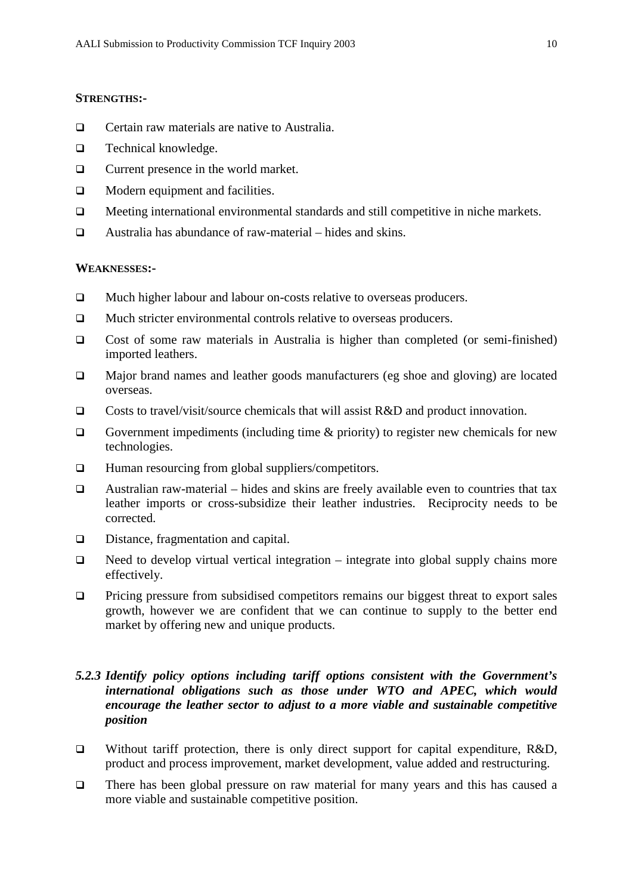#### **STRENGTHS:-**

- □ Certain raw materials are native to Australia.
- $\Box$  Technical knowledge.
- **Q** Current presence in the world market.
- □ Modern equipment and facilities.
- Meeting international environmental standards and still competitive in niche markets.
- $\Box$  Australia has abundance of raw-material hides and skins.

#### **WEAKNESSES:-**

- Much higher labour and labour on-costs relative to overseas producers.
- □ Much stricter environmental controls relative to overseas producers.
- Cost of some raw materials in Australia is higher than completed (or semi-finished) imported leathers.
- Major brand names and leather goods manufacturers (eg shoe and gloving) are located overseas.
- $\Box$  Costs to travel/visit/source chemicals that will assist R&D and product innovation.
- Government impediments (including time  $\&$  priority) to register new chemicals for new technologies.
- $\Box$  Human resourcing from global suppliers/competitors.
- $\Box$  Australian raw-material hides and skins are freely available even to countries that tax leather imports or cross-subsidize their leather industries. Reciprocity needs to be corrected.
- Distance, fragmentation and capital.
- $\Box$  Need to develop virtual vertical integration integrate into global supply chains more effectively.
- **Pricing pressure from subsidised competitors remains our biggest threat to export sales** growth, however we are confident that we can continue to supply to the better end market by offering new and unique products.

# *5.2.3 Identify policy options including tariff options consistent with the Government's international obligations such as those under WTO and APEC, which would encourage the leather sector to adjust to a more viable and sustainable competitive position*

- Without tariff protection, there is only direct support for capital expenditure,  $R&D$ , product and process improvement, market development, value added and restructuring.
- There has been global pressure on raw material for many years and this has caused a more viable and sustainable competitive position.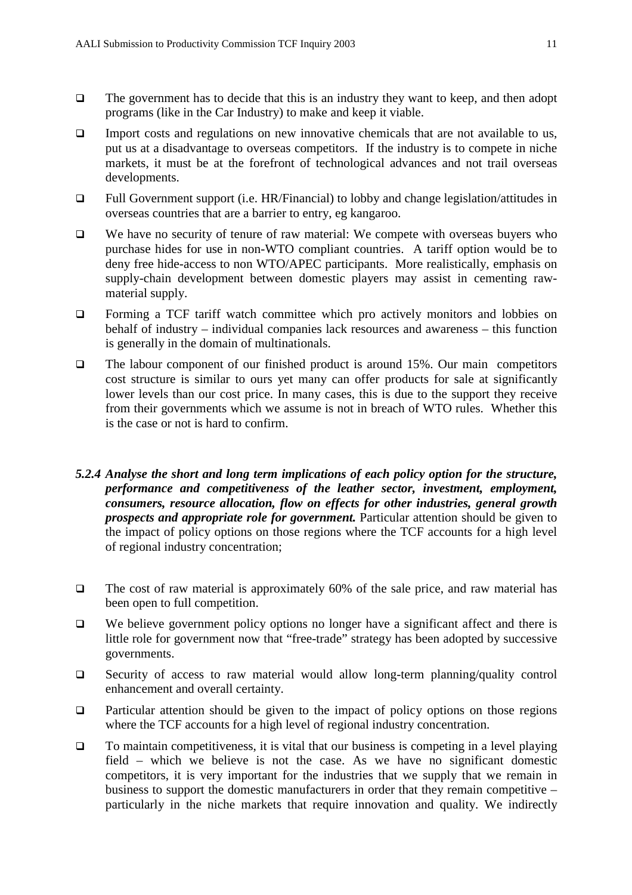- $\Box$  The government has to decide that this is an industry they want to keep, and then adopt programs (like in the Car Industry) to make and keep it viable.
- $\Box$  Import costs and regulations on new innovative chemicals that are not available to us, put us at a disadvantage to overseas competitors. If the industry is to compete in niche markets, it must be at the forefront of technological advances and not trail overseas developments.
- Full Government support (i.e. HR/Financial) to lobby and change legislation/attitudes in overseas countries that are a barrier to entry, eg kangaroo.
- $\Box$  We have no security of tenure of raw material: We compete with overseas buyers who purchase hides for use in non-WTO compliant countries. A tariff option would be to deny free hide-access to non WTO/APEC participants. More realistically, emphasis on supply-chain development between domestic players may assist in cementing rawmaterial supply.
- Forming a TCF tariff watch committee which pro actively monitors and lobbies on behalf of industry – individual companies lack resources and awareness – this function is generally in the domain of multinationals.
- $\Box$  The labour component of our finished product is around 15%. Our main competitors cost structure is similar to ours yet many can offer products for sale at significantly lower levels than our cost price. In many cases, this is due to the support they receive from their governments which we assume is not in breach of WTO rules. Whether this is the case or not is hard to confirm.
- *5.2.4 Analyse the short and long term implications of each policy option for the structure, performance and competitiveness of the leather sector, investment, employment, consumers, resource allocation, flow on effects for other industries, general growth prospects and appropriate role for government.* Particular attention should be given to the impact of policy options on those regions where the TCF accounts for a high level of regional industry concentration;
- $\Box$  The cost of raw material is approximately 60% of the sale price, and raw material has been open to full competition.
- $\Box$  We believe government policy options no longer have a significant affect and there is little role for government now that "free-trade" strategy has been adopted by successive governments.
- Security of access to raw material would allow long-term planning/quality control enhancement and overall certainty.
- $\Box$  Particular attention should be given to the impact of policy options on those regions where the TCF accounts for a high level of regional industry concentration.
- $\Box$  To maintain competitiveness, it is vital that our business is competing in a level playing field – which we believe is not the case. As we have no significant domestic competitors, it is very important for the industries that we supply that we remain in business to support the domestic manufacturers in order that they remain competitive – particularly in the niche markets that require innovation and quality. We indirectly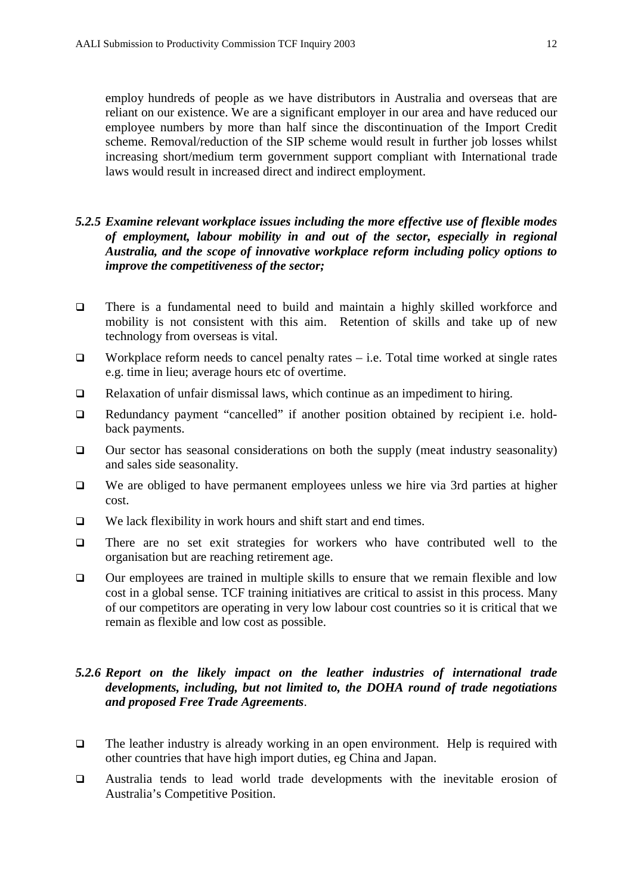employ hundreds of people as we have distributors in Australia and overseas that are reliant on our existence. We are a significant employer in our area and have reduced our employee numbers by more than half since the discontinuation of the Import Credit scheme. Removal/reduction of the SIP scheme would result in further job losses whilst increasing short/medium term government support compliant with International trade laws would result in increased direct and indirect employment.

# *5.2.5 Examine relevant workplace issues including the more effective use of flexible modes of employment, labour mobility in and out of the sector, especially in regional Australia, and the scope of innovative workplace reform including policy options to improve the competitiveness of the sector;*

- There is a fundamental need to build and maintain a highly skilled workforce and mobility is not consistent with this aim. Retention of skills and take up of new technology from overseas is vital.
- $\Box$  Workplace reform needs to cancel penalty rates i.e. Total time worked at single rates e.g. time in lieu; average hours etc of overtime.
- $\Box$  Relaxation of unfair dismissal laws, which continue as an impediment to hiring.
- Redundancy payment "cancelled" if another position obtained by recipient i.e. holdback payments.
- $\Box$  Our sector has seasonal considerations on both the supply (meat industry seasonality) and sales side seasonality.
- $\Box$  We are obliged to have permanent employees unless we hire via 3rd parties at higher cost.
- $\Box$  We lack flexibility in work hours and shift start and end times.
- There are no set exit strategies for workers who have contributed well to the organisation but are reaching retirement age.
- $\Box$  Our employees are trained in multiple skills to ensure that we remain flexible and low cost in a global sense. TCF training initiatives are critical to assist in this process. Many of our competitors are operating in very low labour cost countries so it is critical that we remain as flexible and low cost as possible.

# *5.2.6 Report on the likely impact on the leather industries of international trade developments, including, but not limited to, the DOHA round of trade negotiations and proposed Free Trade Agreements*.

- $\Box$  The leather industry is already working in an open environment. Help is required with other countries that have high import duties, eg China and Japan.
- Australia tends to lead world trade developments with the inevitable erosion of Australia's Competitive Position.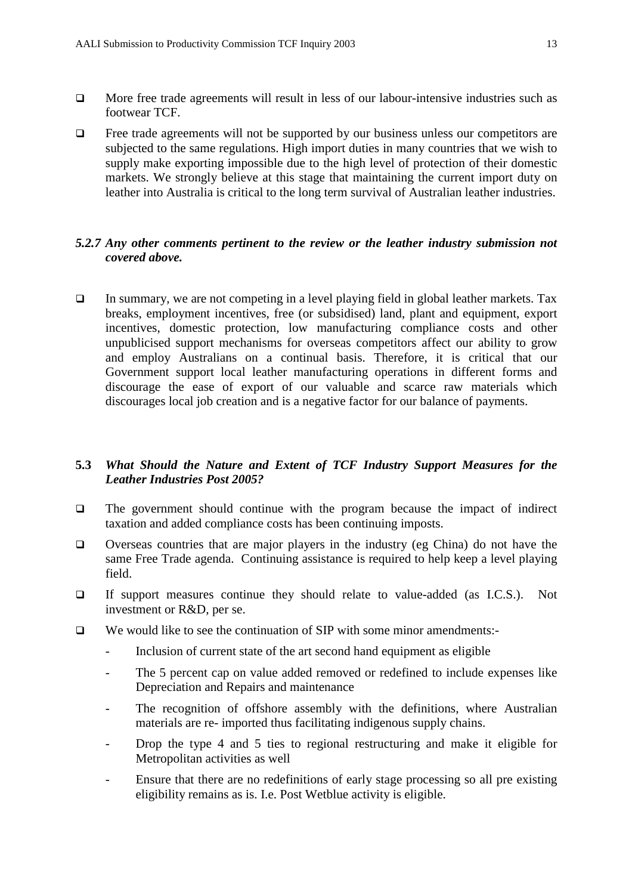- $\Box$  More free trade agreements will result in less of our labour-intensive industries such as footwear TCF.
- $\Box$  Free trade agreements will not be supported by our business unless our competitors are subjected to the same regulations. High import duties in many countries that we wish to supply make exporting impossible due to the high level of protection of their domestic markets. We strongly believe at this stage that maintaining the current import duty on leather into Australia is critical to the long term survival of Australian leather industries.

# *5.2.7 Any other comments pertinent to the review or the leather industry submission not covered above.*

 $\Box$  In summary, we are not competing in a level playing field in global leather markets. Tax breaks, employment incentives, free (or subsidised) land, plant and equipment, export incentives, domestic protection, low manufacturing compliance costs and other unpublicised support mechanisms for overseas competitors affect our ability to grow and employ Australians on a continual basis. Therefore, it is critical that our Government support local leather manufacturing operations in different forms and discourage the ease of export of our valuable and scarce raw materials which discourages local job creation and is a negative factor for our balance of payments.

# **5.3** *What Should the Nature and Extent of TCF Industry Support Measures for the Leather Industries Post 2005?*

- $\Box$  The government should continue with the program because the impact of indirect taxation and added compliance costs has been continuing imposts.
- $\Box$  Overseas countries that are major players in the industry (eg China) do not have the same Free Trade agenda. Continuing assistance is required to help keep a level playing field.
- If support measures continue they should relate to value-added (as I.C.S.). Not investment or R&D, per se.
- $\Box$  We would like to see the continuation of SIP with some minor amendments:
	- Inclusion of current state of the art second hand equipment as eligible
	- The 5 percent cap on value added removed or redefined to include expenses like Depreciation and Repairs and maintenance
	- The recognition of offshore assembly with the definitions, where Australian materials are re- imported thus facilitating indigenous supply chains.
	- Drop the type 4 and 5 ties to regional restructuring and make it eligible for Metropolitan activities as well
	- Ensure that there are no redefinitions of early stage processing so all pre existing eligibility remains as is. I.e. Post Wetblue activity is eligible.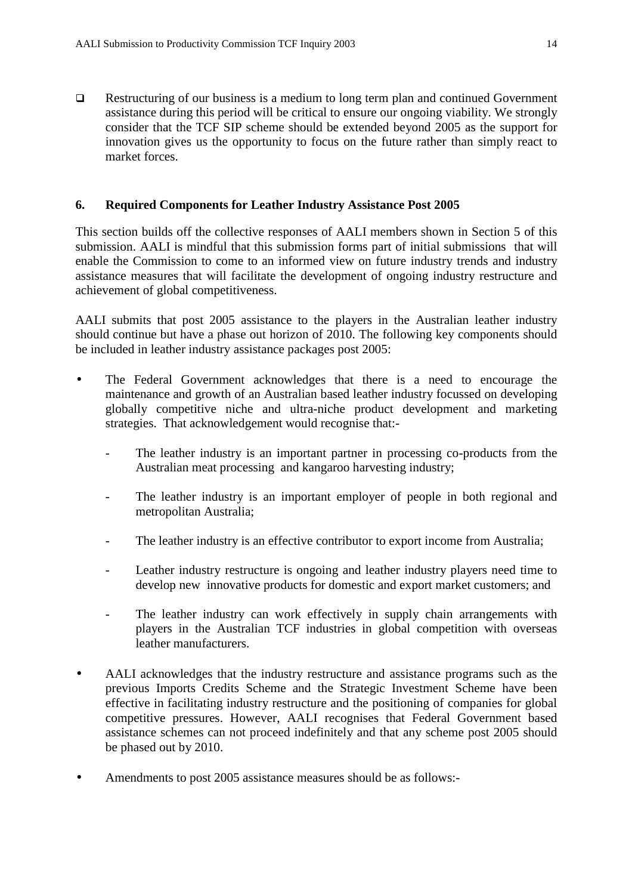□ Restructuring of our business is a medium to long term plan and continued Government assistance during this period will be critical to ensure our ongoing viability. We strongly consider that the TCF SIP scheme should be extended beyond 2005 as the support for innovation gives us the opportunity to focus on the future rather than simply react to market forces.

## **6. Required Components for Leather Industry Assistance Post 2005**

This section builds off the collective responses of AALI members shown in Section 5 of this submission. AALI is mindful that this submission forms part of initial submissions that will enable the Commission to come to an informed view on future industry trends and industry assistance measures that will facilitate the development of ongoing industry restructure and achievement of global competitiveness.

AALI submits that post 2005 assistance to the players in the Australian leather industry should continue but have a phase out horizon of 2010. The following key components should be included in leather industry assistance packages post 2005:

- The Federal Government acknowledges that there is a need to encourage the maintenance and growth of an Australian based leather industry focussed on developing globally competitive niche and ultra-niche product development and marketing strategies. That acknowledgement would recognise that:-
	- The leather industry is an important partner in processing co-products from the Australian meat processing and kangaroo harvesting industry;
	- The leather industry is an important employer of people in both regional and metropolitan Australia;
	- The leather industry is an effective contributor to export income from Australia;
	- Leather industry restructure is ongoing and leather industry players need time to develop new innovative products for domestic and export market customers; and
	- The leather industry can work effectively in supply chain arrangements with players in the Australian TCF industries in global competition with overseas leather manufacturers.
- AALI acknowledges that the industry restructure and assistance programs such as the previous Imports Credits Scheme and the Strategic Investment Scheme have been effective in facilitating industry restructure and the positioning of companies for global competitive pressures. However, AALI recognises that Federal Government based assistance schemes can not proceed indefinitely and that any scheme post 2005 should be phased out by 2010.
- Amendments to post 2005 assistance measures should be as follows:-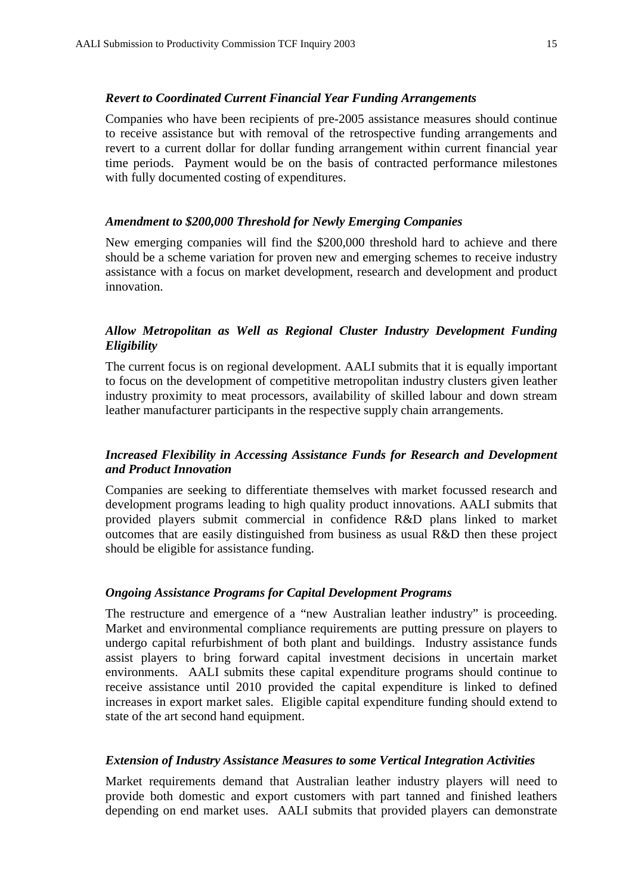#### *Revert to Coordinated Current Financial Year Funding Arrangements*

Companies who have been recipients of pre-2005 assistance measures should continue to receive assistance but with removal of the retrospective funding arrangements and revert to a current dollar for dollar funding arrangement within current financial year time periods. Payment would be on the basis of contracted performance milestones with fully documented costing of expenditures.

## *Amendment to \$200,000 Threshold for Newly Emerging Companies*

New emerging companies will find the \$200,000 threshold hard to achieve and there should be a scheme variation for proven new and emerging schemes to receive industry assistance with a focus on market development, research and development and product innovation.

# *Allow Metropolitan as Well as Regional Cluster Industry Development Funding Eligibility*

The current focus is on regional development. AALI submits that it is equally important to focus on the development of competitive metropolitan industry clusters given leather industry proximity to meat processors, availability of skilled labour and down stream leather manufacturer participants in the respective supply chain arrangements.

## *Increased Flexibility in Accessing Assistance Funds for Research and Development and Product Innovation*

Companies are seeking to differentiate themselves with market focussed research and development programs leading to high quality product innovations. AALI submits that provided players submit commercial in confidence R&D plans linked to market outcomes that are easily distinguished from business as usual R&D then these project should be eligible for assistance funding.

#### *Ongoing Assistance Programs for Capital Development Programs*

The restructure and emergence of a "new Australian leather industry" is proceeding. Market and environmental compliance requirements are putting pressure on players to undergo capital refurbishment of both plant and buildings. Industry assistance funds assist players to bring forward capital investment decisions in uncertain market environments. AALI submits these capital expenditure programs should continue to receive assistance until 2010 provided the capital expenditure is linked to defined increases in export market sales. Eligible capital expenditure funding should extend to state of the art second hand equipment.

#### *Extension of Industry Assistance Measures to some Vertical Integration Activities*

Market requirements demand that Australian leather industry players will need to provide both domestic and export customers with part tanned and finished leathers depending on end market uses. AALI submits that provided players can demonstrate